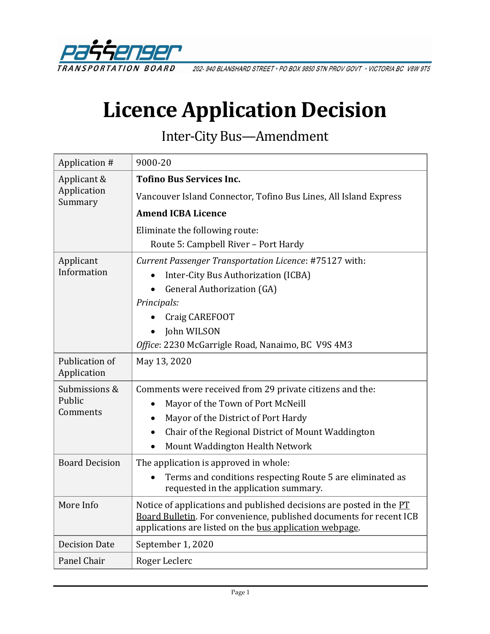

202-940 BLANSHARD STREET . PO BOX 9850 STN PROV GOVT . VICTORIA BC V8W 9T5

# **Licence Application Decision**

Inter-City Bus—Amendment

| Application #                         | 9000-20                                                                                                                                                                                               |
|---------------------------------------|-------------------------------------------------------------------------------------------------------------------------------------------------------------------------------------------------------|
| Applicant &<br>Application<br>Summary | <b>Tofino Bus Services Inc.</b>                                                                                                                                                                       |
|                                       | Vancouver Island Connector, Tofino Bus Lines, All Island Express                                                                                                                                      |
|                                       | <b>Amend ICBA Licence</b>                                                                                                                                                                             |
|                                       | Eliminate the following route:<br>Route 5: Campbell River - Port Hardy                                                                                                                                |
| Applicant                             | Current Passenger Transportation Licence: #75127 with:                                                                                                                                                |
| Information                           | Inter-City Bus Authorization (ICBA)                                                                                                                                                                   |
|                                       | <b>General Authorization (GA)</b>                                                                                                                                                                     |
|                                       | Principals:                                                                                                                                                                                           |
|                                       | Craig CAREFOOT                                                                                                                                                                                        |
|                                       | John WILSON                                                                                                                                                                                           |
|                                       | Office: 2230 McGarrigle Road, Nanaimo, BC V9S 4M3                                                                                                                                                     |
| Publication of<br>Application         | May 13, 2020                                                                                                                                                                                          |
| Submissions &                         | Comments were received from 29 private citizens and the:                                                                                                                                              |
| Public                                | Mayor of the Town of Port McNeill                                                                                                                                                                     |
| Comments                              | Mayor of the District of Port Hardy<br>$\bullet$                                                                                                                                                      |
|                                       | Chair of the Regional District of Mount Waddington<br>$\bullet$                                                                                                                                       |
|                                       | Mount Waddington Health Network                                                                                                                                                                       |
| <b>Board Decision</b>                 | The application is approved in whole:                                                                                                                                                                 |
|                                       | Terms and conditions respecting Route 5 are eliminated as<br>requested in the application summary.                                                                                                    |
| More Info                             | Notice of applications and published decisions are posted in the PT<br>Board Bulletin. For convenience, published documents for recent ICB<br>applications are listed on the bus application webpage. |
| <b>Decision Date</b>                  | September 1, 2020                                                                                                                                                                                     |
| Panel Chair                           | Roger Leclerc                                                                                                                                                                                         |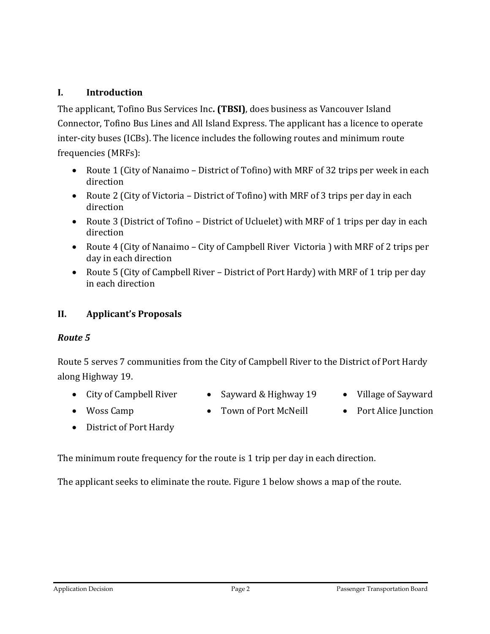#### **I. Introduction**

The applicant, Tofino Bus Services Inc**. (TBSI)**, does business as Vancouver Island Connector, Tofino Bus Lines and All Island Express. The applicant has a licence to operate inter-city buses (ICBs). The licence includes the following routes and minimum route frequencies (MRFs):

- Route 1 (City of Nanaimo District of Tofino) with MRF of 32 trips per week in each direction
- Route 2 (City of Victoria District of Tofino) with MRF of 3 trips per day in each direction
- Route 3 (District of Tofino District of Ucluelet) with MRF of 1 trips per day in each direction
- Route 4 (City of Nanaimo City of Campbell River Victoria ) with MRF of 2 trips per day in each direction
- Route 5 (City of Campbell River District of Port Hardy) with MRF of 1 trip per day in each direction

#### **II. Applicant's Proposals**

#### *Route 5*

Route 5 serves 7 communities from the City of Campbell River to the District of Port Hardy along Highway 19.

- City of Campbell River Sayward & Highway 19 Village of Sayward
- 
- 
- 
- Woss Camp Town of Port McNeill Port Alice Junction
- 

• District of Port Hardy

The minimum route frequency for the route is 1 trip per day in each direction.

The applicant seeks to eliminate the route. Figure 1 below shows a map of the route.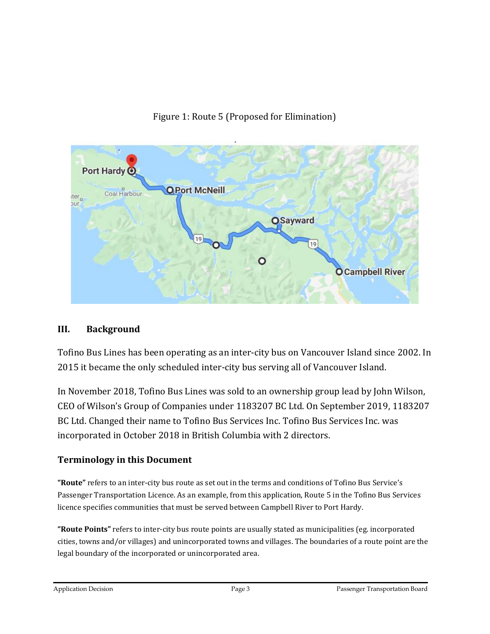



#### **III. Background**

Tofino Bus Lines has been operating as an inter-city bus on Vancouver Island since 2002. In 2015 it became the only scheduled inter-city bus serving all of Vancouver Island.

In November 2018, Tofino Bus Lines was sold to an ownership group lead by John Wilson, CEO of Wilson's Group of Companies under 1183207 BC Ltd. On September 2019, 1183207 BC Ltd. Changed their name to Tofino Bus Services Inc. Tofino Bus Services Inc. was incorporated in October 2018 in British Columbia with 2 directors.

#### **Terminology in this Document**

**"Route"** refers to an inter-city bus route as set out in the terms and conditions of Tofino Bus Service's Passenger Transportation Licence. As an example, from this application, Route 5 in the Tofino Bus Services licence specifies communities that must be served between Campbell River to Port Hardy.

**"Route Points"** refers to inter-city bus route points are usually stated as municipalities (eg. incorporated cities, towns and/or villages) and unincorporated towns and villages. The boundaries of a route point are the legal boundary of the incorporated or unincorporated area.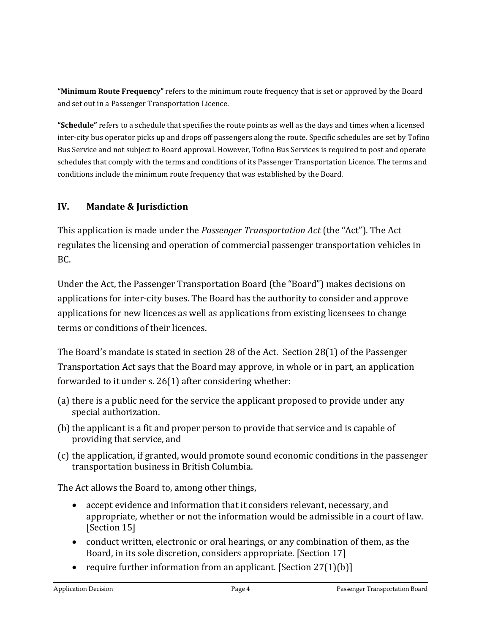**"Minimum Route Frequency"** refers to the minimum route frequency that is set or approved by the Board and set out in a Passenger Transportation Licence.

**"Schedule"** refers to a schedule that specifies the route points as well as the days and times when a licensed inter-city bus operator picks up and drops off passengers along the route. Specific schedules are set by Tofino Bus Service and not subject to Board approval. However, Tofino Bus Services is required to post and operate schedules that comply with the terms and conditions of its Passenger Transportation Licence. The terms and conditions include the minimum route frequency that was established by the Board.

## **IV. Mandate & Jurisdiction**

This application is made under the *Passenger Transportation Act* (the "Act"). The Act regulates the licensing and operation of commercial passenger transportation vehicles in BC.

Under the Act, the Passenger Transportation Board (the "Board") makes decisions on applications for inter-city buses. The Board has the authority to consider and approve applications for new licences as well as applications from existing licensees to change terms or conditions of their licences.

The Board's mandate is stated in section 28 of the Act. Section 28(1) of the Passenger Transportation Act says that the Board may approve, in whole or in part, an application forwarded to it under s. 26(1) after considering whether:

- (a) there is a public need for the service the applicant proposed to provide under any special authorization.
- (b) the applicant is a fit and proper person to provide that service and is capable of providing that service, and
- (c) the application, if granted, would promote sound economic conditions in the passenger transportation business in British Columbia.

The Act allows the Board to, among other things,

- accept evidence and information that it considers relevant, necessary, and appropriate, whether or not the information would be admissible in a court of law. [Section 15]
- conduct written, electronic or oral hearings, or any combination of them, as the Board, in its sole discretion, considers appropriate. [Section 17]
- require further information from an applicant. [Section  $27(1)(b)$ ]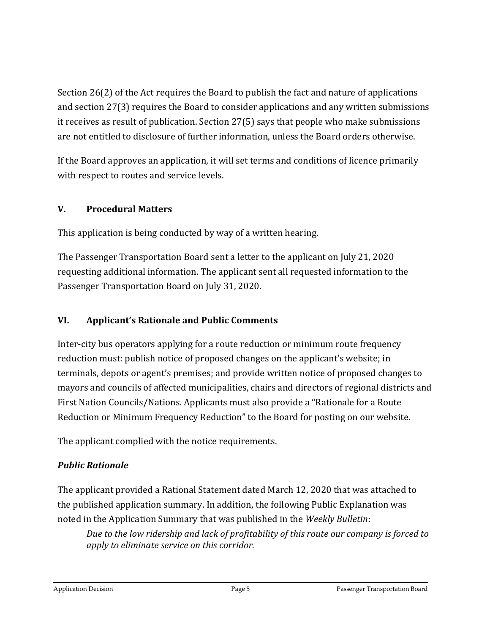Section 26(2) of the Act requires the Board to publish the fact and nature of applications and section 27(3) requires the Board to consider applications and any written submissions it receives as result of publication. Section 27(5) says that people who make submissions are not entitled to disclosure of further information, unless the Board orders otherwise.

If the Board approves an application, it will set terms and conditions of licence primarily with respect to routes and service levels.

# **V. Procedural Matters**

This application is being conducted by way of a written hearing.

The Passenger Transportation Board sent a letter to the applicant on July 21, 2020 requesting additional information. The applicant sent all requested information to the Passenger Transportation Board on July 31, 2020.

# **VI. Applicant's Rationale and Public Comments**

Inter-city bus operators applying for a route reduction or minimum route frequency reduction must: publish notice of proposed changes on the applicant's website; in terminals, depots or agent's premises; and provide written notice of proposed changes to mayors and councils of affected municipalities, chairs and directors of regional districts and First Nation Councils/Nations. Applicants must also provide a "Rationale for a Route Reduction or Minimum Frequency Reduction" to the Board for posting on our website.

The applicant complied with the notice requirements.

# *Public Rationale*

The applicant provided a Rational Statement dated March 12, 2020 that was attached to the published application summary. In addition, the following Public Explanation was noted in the Application Summary that was published in the *Weekly Bulletin*:

*Due to the low ridership and lack of profitability of this route our company is forced to apply to eliminate service on this corridor.*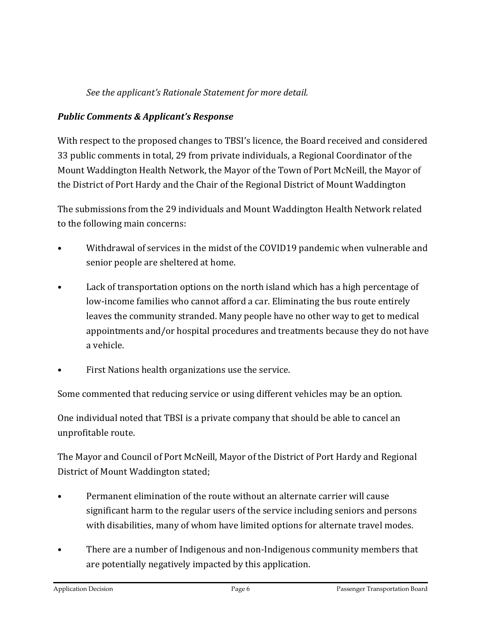## *See the applicant's Rationale Statement for more detail.*

## *Public Comments & Applicant's Response*

With respect to the proposed changes to TBSI's licence, the Board received and considered 33 public comments in total, 29 from private individuals, a Regional Coordinator of the Mount Waddington Health Network, the Mayor of the Town of Port McNeill, the Mayor of the District of Port Hardy and the Chair of the Regional District of Mount Waddington

The submissions from the 29 individuals and Mount Waddington Health Network related to the following main concerns:

- Withdrawal of services in the midst of the COVID19 pandemic when vulnerable and senior people are sheltered at home.
- Lack of transportation options on the north island which has a high percentage of low-income families who cannot afford a car. Eliminating the bus route entirely leaves the community stranded. Many people have no other way to get to medical appointments and/or hospital procedures and treatments because they do not have a vehicle.
- First Nations health organizations use the service.

Some commented that reducing service or using different vehicles may be an option.

One individual noted that TBSI is a private company that should be able to cancel an unprofitable route.

The Mayor and Council of Port McNeill, Mayor of the District of Port Hardy and Regional District of Mount Waddington stated;

- Permanent elimination of the route without an alternate carrier will cause significant harm to the regular users of the service including seniors and persons with disabilities, many of whom have limited options for alternate travel modes.
- There are a number of Indigenous and non-Indigenous community members that are potentially negatively impacted by this application.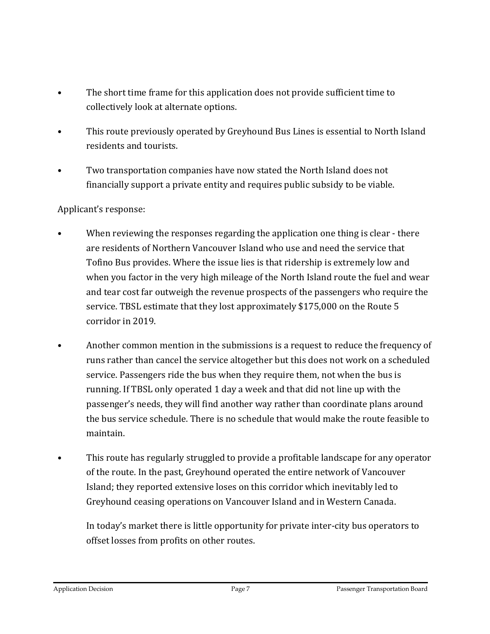- The short time frame for this application does not provide sufficient time to collectively look at alternate options.
- This route previously operated by Greyhound Bus Lines is essential to North Island residents and tourists.
- Two transportation companies have now stated the North Island does not financially support a private entity and requires public subsidy to be viable.

#### Applicant's response:

- When reviewing the responses regarding the application one thing is clear there are residents of Northern Vancouver Island who use and need the service that Tofino Bus provides. Where the issue lies is that ridership is extremely low and when you factor in the very high mileage of the North Island route the fuel and wear and tear cost far outweigh the revenue prospects of the passengers who require the service. TBSL estimate that they lost approximately \$175,000 on the Route 5 corridor in 2019.
- Another common mention in the submissions is a request to reduce the frequency of runs rather than cancel the service altogether but this does not work on a scheduled service. Passengers ride the bus when they require them, not when the bus is running. If TBSL only operated 1 day a week and that did not line up with the passenger's needs, they will find another way rather than coordinate plans around the bus service schedule. There is no schedule that would make the route feasible to maintain.
- This route has regularly struggled to provide a profitable landscape for any operator of the route. In the past, Greyhound operated the entire network of Vancouver Island; they reported extensive loses on this corridor which inevitably led to Greyhound ceasing operations on Vancouver Island and in Western Canada.

In today's market there is little opportunity for private inter-city bus operators to offset losses from profits on other routes.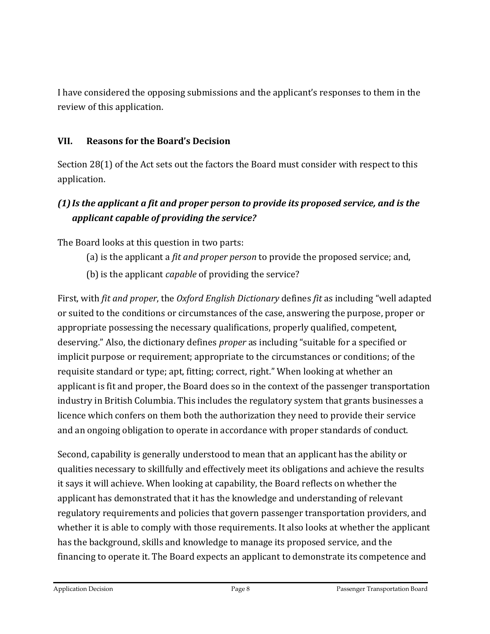I have considered the opposing submissions and the applicant's responses to them in the review of this application.

#### **VII. Reasons for the Board's Decision**

Section 28(1) of the Act sets out the factors the Board must consider with respect to this application.

# *(1)Is the applicant a fit and proper person to provide its proposed service, and is the applicant capable of providing the service?*

The Board looks at this question in two parts:

- (a) is the applicant a *fit and proper person* to provide the proposed service; and,
- (b) is the applicant *capable* of providing the service?

First, with *fit and proper*, the *Oxford English Dictionary* defines *fit* as including "well adapted or suited to the conditions or circumstances of the case, answering the purpose, proper or appropriate possessing the necessary qualifications, properly qualified, competent, deserving." Also, the dictionary defines *proper* as including "suitable for a specified or implicit purpose or requirement; appropriate to the circumstances or conditions; of the requisite standard or type; apt, fitting; correct, right." When looking at whether an applicant is fit and proper, the Board does so in the context of the passenger transportation industry in British Columbia. This includes the regulatory system that grants businesses a licence which confers on them both the authorization they need to provide their service and an ongoing obligation to operate in accordance with proper standards of conduct.

Second, capability is generally understood to mean that an applicant has the ability or qualities necessary to skillfully and effectively meet its obligations and achieve the results it says it will achieve. When looking at capability, the Board reflects on whether the applicant has demonstrated that it has the knowledge and understanding of relevant regulatory requirements and policies that govern passenger transportation providers, and whether it is able to comply with those requirements. It also looks at whether the applicant has the background, skills and knowledge to manage its proposed service, and the financing to operate it. The Board expects an applicant to demonstrate its competence and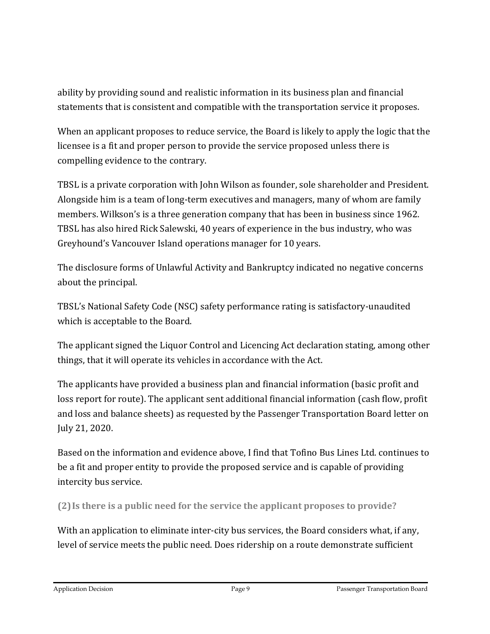ability by providing sound and realistic information in its business plan and financial statements that is consistent and compatible with the transportation service it proposes.

When an applicant proposes to reduce service, the Board is likely to apply the logic that the licensee is a fit and proper person to provide the service proposed unless there is compelling evidence to the contrary.

TBSL is a private corporation with John Wilson as founder, sole shareholder and President. Alongside him is a team of long-term executives and managers, many of whom are family members. Wilkson's is a three generation company that has been in business since 1962. TBSL has also hired Rick Salewski, 40 years of experience in the bus industry, who was Greyhound's Vancouver Island operations manager for 10 years.

The disclosure forms of Unlawful Activity and Bankruptcy indicated no negative concerns about the principal.

TBSL's National Safety Code (NSC) safety performance rating is satisfactory-unaudited which is acceptable to the Board.

The applicant signed the Liquor Control and Licencing Act declaration stating, among other things, that it will operate its vehicles in accordance with the Act.

The applicants have provided a business plan and financial information (basic profit and loss report for route). The applicant sent additional financial information (cash flow, profit and loss and balance sheets) as requested by the Passenger Transportation Board letter on July 21, 2020.

Based on the information and evidence above, I find that Tofino Bus Lines Ltd. continues to be a fit and proper entity to provide the proposed service and is capable of providing intercity bus service.

**(2)Is there is a public need for the service the applicant proposes to provide?**

With an application to eliminate inter-city bus services, the Board considers what, if any, level of service meets the public need. Does ridership on a route demonstrate sufficient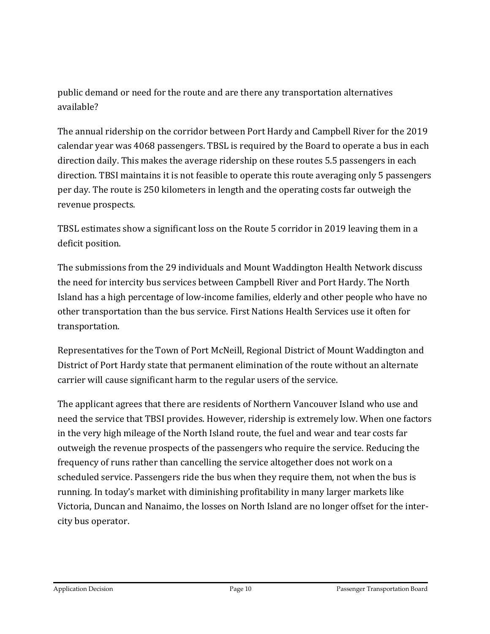public demand or need for the route and are there any transportation alternatives available?

The annual ridership on the corridor between Port Hardy and Campbell River for the 2019 calendar year was 4068 passengers. TBSL is required by the Board to operate a bus in each direction daily. This makes the average ridership on these routes 5.5 passengers in each direction. TBSI maintains it is not feasible to operate this route averaging only 5 passengers per day. The route is 250 kilometers in length and the operating costs far outweigh the revenue prospects.

TBSL estimates show a significant loss on the Route 5 corridor in 2019 leaving them in a deficit position.

The submissions from the 29 individuals and Mount Waddington Health Network discuss the need for intercity bus services between Campbell River and Port Hardy. The North Island has a high percentage of low-income families, elderly and other people who have no other transportation than the bus service. First Nations Health Services use it often for transportation.

Representatives for the Town of Port McNeill, Regional District of Mount Waddington and District of Port Hardy state that permanent elimination of the route without an alternate carrier will cause significant harm to the regular users of the service.

The applicant agrees that there are residents of Northern Vancouver Island who use and need the service that TBSI provides. However, ridership is extremely low. When one factors in the very high mileage of the North Island route, the fuel and wear and tear costs far outweigh the revenue prospects of the passengers who require the service. Reducing the frequency of runs rather than cancelling the service altogether does not work on a scheduled service. Passengers ride the bus when they require them, not when the bus is running. In today's market with diminishing profitability in many larger markets like Victoria, Duncan and Nanaimo, the losses on North Island are no longer offset for the intercity bus operator.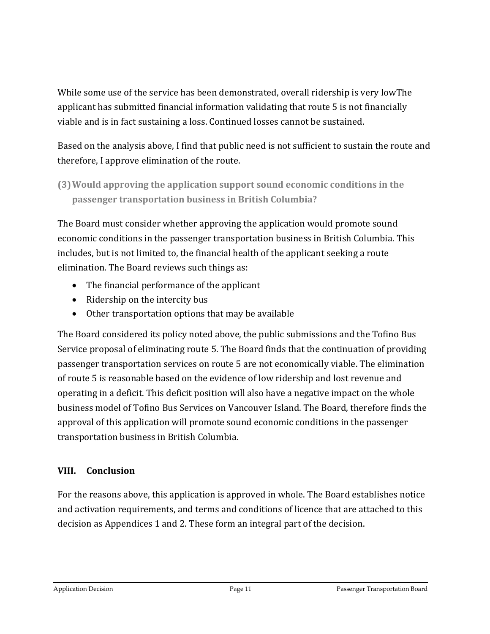While some use of the service has been demonstrated, overall ridership is very lowThe applicant has submitted financial information validating that route 5 is not financially viable and is in fact sustaining a loss. Continued losses cannot be sustained.

Based on the analysis above, I find that public need is not sufficient to sustain the route and therefore, I approve elimination of the route.

**(3)Would approving the application support sound economic conditions in the passenger transportation business in British Columbia?**

The Board must consider whether approving the application would promote sound economic conditions in the passenger transportation business in British Columbia. This includes, but is not limited to, the financial health of the applicant seeking a route elimination. The Board reviews such things as:

- The financial performance of the applicant
- Ridership on the intercity bus
- Other transportation options that may be available

The Board considered its policy noted above, the public submissions and the Tofino Bus Service proposal of eliminating route 5. The Board finds that the continuation of providing passenger transportation services on route 5 are not economically viable. The elimination of route 5 is reasonable based on the evidence of low ridership and lost revenue and operating in a deficit. This deficit position will also have a negative impact on the whole business model of Tofino Bus Services on Vancouver Island. The Board, therefore finds the approval of this application will promote sound economic conditions in the passenger transportation business in British Columbia.

# **VIII. Conclusion**

For the reasons above, this application is approved in whole. The Board establishes notice and activation requirements, and terms and conditions of licence that are attached to this decision as Appendices 1 and 2. These form an integral part of the decision.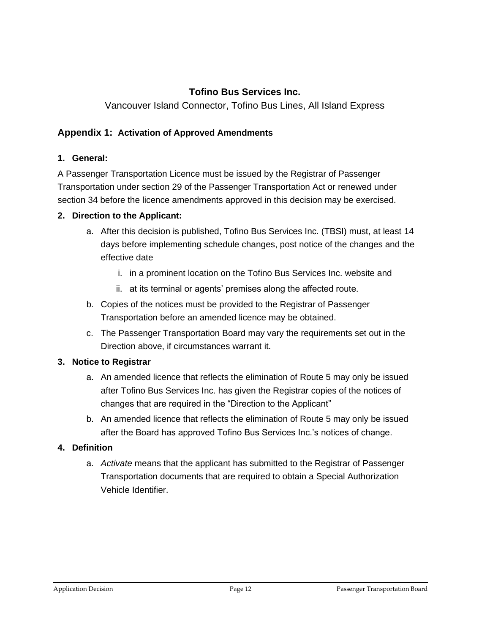### **Tofino Bus Services Inc.**

#### Vancouver Island Connector, Tofino Bus Lines, All Island Express

#### **Appendix 1: Activation of Approved Amendments**

#### **1. General:**

A Passenger Transportation Licence must be issued by the Registrar of Passenger Transportation under section 29 of the Passenger Transportation Act or renewed under section 34 before the licence amendments approved in this decision may be exercised.

#### **2. Direction to the Applicant:**

- a. After this decision is published, Tofino Bus Services Inc. (TBSI) must, at least 14 days before implementing schedule changes, post notice of the changes and the effective date
	- i. in a prominent location on the Tofino Bus Services Inc. website and
	- ii. at its terminal or agents' premises along the affected route.
- b. Copies of the notices must be provided to the Registrar of Passenger Transportation before an amended licence may be obtained.
- c. The Passenger Transportation Board may vary the requirements set out in the Direction above, if circumstances warrant it.

#### **3. Notice to Registrar**

- a. An amended licence that reflects the elimination of Route 5 may only be issued after Tofino Bus Services Inc. has given the Registrar copies of the notices of changes that are required in the "Direction to the Applicant"
- b. An amended licence that reflects the elimination of Route 5 may only be issued after the Board has approved Tofino Bus Services Inc.'s notices of change.

#### **4. Definition**

a. *Activate* means that the applicant has submitted to the Registrar of Passenger Transportation documents that are required to obtain a Special Authorization Vehicle Identifier.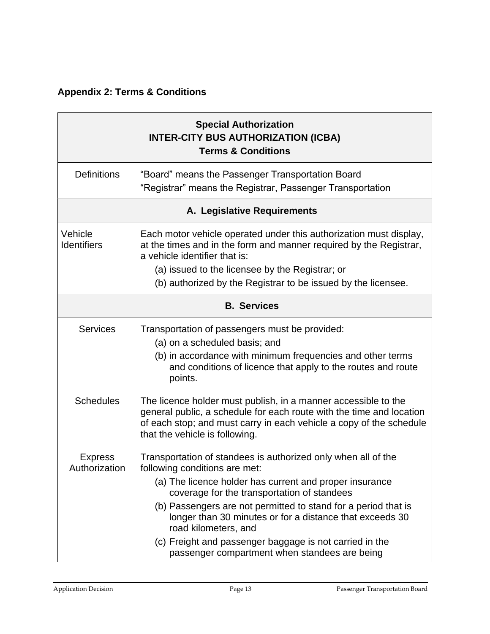# **Appendix 2: Terms & Conditions**

| <b>Special Authorization</b><br><b>INTER-CITY BUS AUTHORIZATION (ICBA)</b><br><b>Terms &amp; Conditions</b> |                                                                                                                                                                                                                                                                                                                                                                                                                                                                            |  |
|-------------------------------------------------------------------------------------------------------------|----------------------------------------------------------------------------------------------------------------------------------------------------------------------------------------------------------------------------------------------------------------------------------------------------------------------------------------------------------------------------------------------------------------------------------------------------------------------------|--|
| <b>Definitions</b>                                                                                          | "Board" means the Passenger Transportation Board<br>"Registrar" means the Registrar, Passenger Transportation                                                                                                                                                                                                                                                                                                                                                              |  |
| A. Legislative Requirements                                                                                 |                                                                                                                                                                                                                                                                                                                                                                                                                                                                            |  |
| Vehicle<br><b>Identifiers</b>                                                                               | Each motor vehicle operated under this authorization must display,<br>at the times and in the form and manner required by the Registrar,<br>a vehicle identifier that is:<br>(a) issued to the licensee by the Registrar; or<br>(b) authorized by the Registrar to be issued by the licensee.                                                                                                                                                                              |  |
| <b>B.</b> Services                                                                                          |                                                                                                                                                                                                                                                                                                                                                                                                                                                                            |  |
| <b>Services</b>                                                                                             | Transportation of passengers must be provided:<br>(a) on a scheduled basis; and<br>(b) in accordance with minimum frequencies and other terms<br>and conditions of licence that apply to the routes and route<br>points.                                                                                                                                                                                                                                                   |  |
| <b>Schedules</b>                                                                                            | The licence holder must publish, in a manner accessible to the<br>general public, a schedule for each route with the time and location<br>of each stop; and must carry in each vehicle a copy of the schedule<br>that the vehicle is following.                                                                                                                                                                                                                            |  |
| <b>Express</b><br>Authorization                                                                             | Transportation of standees is authorized only when all of the<br>following conditions are met:<br>(a) The licence holder has current and proper insurance<br>coverage for the transportation of standees<br>(b) Passengers are not permitted to stand for a period that is<br>longer than 30 minutes or for a distance that exceeds 30<br>road kilometers, and<br>(c) Freight and passenger baggage is not carried in the<br>passenger compartment when standees are being |  |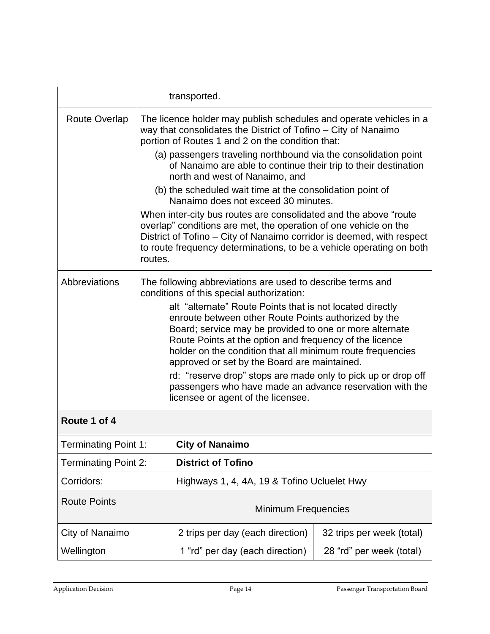|                             |                                                                                                                                                                                                                                                                                                                                                                                                                                                                                                                                                                                                                                     | transported.                                                                                                                                                                                                                                                                          |                           |
|-----------------------------|-------------------------------------------------------------------------------------------------------------------------------------------------------------------------------------------------------------------------------------------------------------------------------------------------------------------------------------------------------------------------------------------------------------------------------------------------------------------------------------------------------------------------------------------------------------------------------------------------------------------------------------|---------------------------------------------------------------------------------------------------------------------------------------------------------------------------------------------------------------------------------------------------------------------------------------|---------------------------|
| <b>Route Overlap</b>        |                                                                                                                                                                                                                                                                                                                                                                                                                                                                                                                                                                                                                                     | The licence holder may publish schedules and operate vehicles in a<br>way that consolidates the District of Tofino – City of Nanaimo<br>portion of Routes 1 and 2 on the condition that:                                                                                              |                           |
|                             |                                                                                                                                                                                                                                                                                                                                                                                                                                                                                                                                                                                                                                     | (a) passengers traveling northbound via the consolidation point<br>of Nanaimo are able to continue their trip to their destination<br>north and west of Nanaimo, and                                                                                                                  |                           |
|                             |                                                                                                                                                                                                                                                                                                                                                                                                                                                                                                                                                                                                                                     | (b) the scheduled wait time at the consolidation point of<br>Nanaimo does not exceed 30 minutes.                                                                                                                                                                                      |                           |
|                             | routes.                                                                                                                                                                                                                                                                                                                                                                                                                                                                                                                                                                                                                             | When inter-city bus routes are consolidated and the above "route<br>overlap" conditions are met, the operation of one vehicle on the<br>District of Tofino – City of Nanaimo corridor is deemed, with respect<br>to route frequency determinations, to be a vehicle operating on both |                           |
| Abbreviations               | The following abbreviations are used to describe terms and<br>conditions of this special authorization:<br>alt "alternate" Route Points that is not located directly<br>enroute between other Route Points authorized by the<br>Board; service may be provided to one or more alternate<br>Route Points at the option and frequency of the licence<br>holder on the condition that all minimum route frequencies<br>approved or set by the Board are maintained.<br>rd: "reserve drop" stops are made only to pick up or drop off<br>passengers who have made an advance reservation with the<br>licensee or agent of the licensee. |                                                                                                                                                                                                                                                                                       |                           |
| Route 1 of 4                |                                                                                                                                                                                                                                                                                                                                                                                                                                                                                                                                                                                                                                     |                                                                                                                                                                                                                                                                                       |                           |
| <b>Terminating Point 1:</b> |                                                                                                                                                                                                                                                                                                                                                                                                                                                                                                                                                                                                                                     | <b>City of Nanaimo</b>                                                                                                                                                                                                                                                                |                           |
| <b>Terminating Point 2:</b> |                                                                                                                                                                                                                                                                                                                                                                                                                                                                                                                                                                                                                                     | <b>District of Tofino</b>                                                                                                                                                                                                                                                             |                           |
| Corridors:                  |                                                                                                                                                                                                                                                                                                                                                                                                                                                                                                                                                                                                                                     | Highways 1, 4, 4A, 19 & Tofino Ucluelet Hwy                                                                                                                                                                                                                                           |                           |
| <b>Route Points</b>         |                                                                                                                                                                                                                                                                                                                                                                                                                                                                                                                                                                                                                                     | <b>Minimum Frequencies</b>                                                                                                                                                                                                                                                            |                           |
| City of Nanaimo             |                                                                                                                                                                                                                                                                                                                                                                                                                                                                                                                                                                                                                                     | 2 trips per day (each direction)                                                                                                                                                                                                                                                      | 32 trips per week (total) |
| Wellington                  |                                                                                                                                                                                                                                                                                                                                                                                                                                                                                                                                                                                                                                     | 1 "rd" per day (each direction)                                                                                                                                                                                                                                                       | 28 "rd" per week (total)  |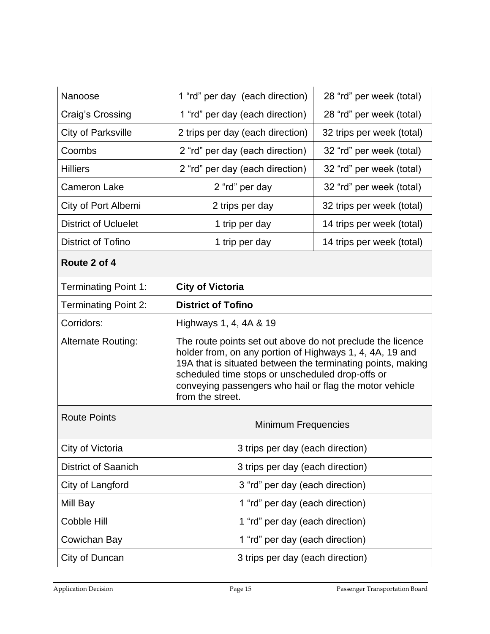| Nanoose                     | 1 "rd" per day (each direction)                                                                                                                                                                                                                                                                                          | 28 "rd" per week (total)  |
|-----------------------------|--------------------------------------------------------------------------------------------------------------------------------------------------------------------------------------------------------------------------------------------------------------------------------------------------------------------------|---------------------------|
| Craig's Crossing            | 1 "rd" per day (each direction)                                                                                                                                                                                                                                                                                          | 28 "rd" per week (total)  |
| City of Parksville          | 2 trips per day (each direction)                                                                                                                                                                                                                                                                                         | 32 trips per week (total) |
| Coombs                      | 2 "rd" per day (each direction)                                                                                                                                                                                                                                                                                          | 32 "rd" per week (total)  |
| <b>Hilliers</b>             | 2 "rd" per day (each direction)                                                                                                                                                                                                                                                                                          | 32 "rd" per week (total)  |
| <b>Cameron Lake</b>         | 2 "rd" per day                                                                                                                                                                                                                                                                                                           | 32 "rd" per week (total)  |
| City of Port Alberni        | 2 trips per day                                                                                                                                                                                                                                                                                                          | 32 trips per week (total) |
| <b>District of Ucluelet</b> | 1 trip per day                                                                                                                                                                                                                                                                                                           | 14 trips per week (total) |
| <b>District of Tofino</b>   | 1 trip per day                                                                                                                                                                                                                                                                                                           | 14 trips per week (total) |
| Route 2 of 4                |                                                                                                                                                                                                                                                                                                                          |                           |
| <b>Terminating Point 1:</b> | <b>City of Victoria</b>                                                                                                                                                                                                                                                                                                  |                           |
| <b>Terminating Point 2:</b> | <b>District of Tofino</b>                                                                                                                                                                                                                                                                                                |                           |
| Corridors:                  | Highways 1, 4, 4A & 19                                                                                                                                                                                                                                                                                                   |                           |
| <b>Alternate Routing:</b>   | The route points set out above do not preclude the licence<br>holder from, on any portion of Highways 1, 4, 4A, 19 and<br>19A that is situated between the terminating points, making<br>scheduled time stops or unscheduled drop-offs or<br>conveying passengers who hail or flag the motor vehicle<br>from the street. |                           |
| <b>Route Points</b>         | <b>Minimum Frequencies</b>                                                                                                                                                                                                                                                                                               |                           |
| City of Victoria            | 3 trips per day (each direction)                                                                                                                                                                                                                                                                                         |                           |
| <b>District of Saanich</b>  | 3 trips per day (each direction)                                                                                                                                                                                                                                                                                         |                           |
| City of Langford            | 3 "rd" per day (each direction)                                                                                                                                                                                                                                                                                          |                           |
| Mill Bay                    | 1 "rd" per day (each direction)                                                                                                                                                                                                                                                                                          |                           |
| Cobble Hill                 | 1 "rd" per day (each direction)                                                                                                                                                                                                                                                                                          |                           |
| Cowichan Bay                |                                                                                                                                                                                                                                                                                                                          |                           |
|                             | 1 "rd" per day (each direction)                                                                                                                                                                                                                                                                                          |                           |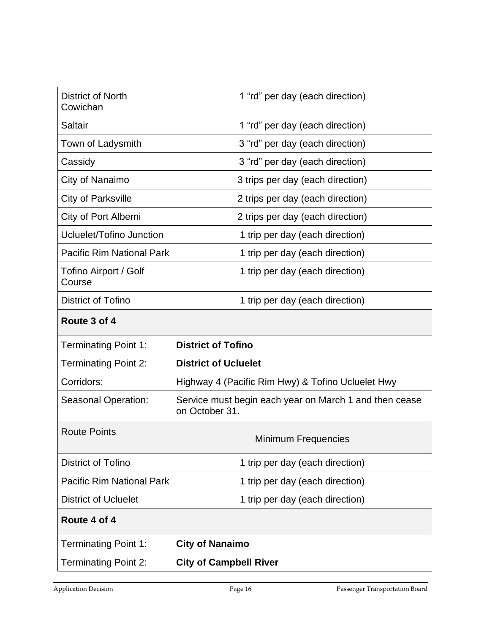| <b>District of North</b><br>Cowichan | 1 "rd" per day (each direction)                                          |
|--------------------------------------|--------------------------------------------------------------------------|
| Saltair                              | 1 "rd" per day (each direction)                                          |
| Town of Ladysmith                    | 3 "rd" per day (each direction)                                          |
| Cassidy                              | 3 "rd" per day (each direction)                                          |
| City of Nanaimo                      | 3 trips per day (each direction)                                         |
| <b>City of Parksville</b>            | 2 trips per day (each direction)                                         |
| City of Port Alberni                 | 2 trips per day (each direction)                                         |
| Ucluelet/Tofino Junction             | 1 trip per day (each direction)                                          |
| <b>Pacific Rim National Park</b>     | 1 trip per day (each direction)                                          |
| Tofino Airport / Golf<br>Course      | 1 trip per day (each direction)                                          |
| <b>District of Tofino</b>            | 1 trip per day (each direction)                                          |
| Route 3 of 4                         |                                                                          |
| <b>Terminating Point 1:</b>          | <b>District of Tofino</b>                                                |
| <b>Terminating Point 2:</b>          | <b>District of Ucluelet</b>                                              |
| Corridors:                           | Highway 4 (Pacific Rim Hwy) & Tofino Ucluelet Hwy                        |
| <b>Seasonal Operation:</b>           | Service must begin each year on March 1 and then cease<br>on October 31. |
| <b>Route Points</b>                  | <b>Minimum Frequencies</b>                                               |
| <b>District of Tofino</b>            | 1 trip per day (each direction)                                          |
| <b>Pacific Rim National Park</b>     | 1 trip per day (each direction)                                          |
| <b>District of Ucluelet</b>          | 1 trip per day (each direction)                                          |
| Route 4 of 4                         |                                                                          |
| <b>Terminating Point 1:</b>          | <b>City of Nanaimo</b>                                                   |
| <b>Terminating Point 2:</b>          | <b>City of Campbell River</b>                                            |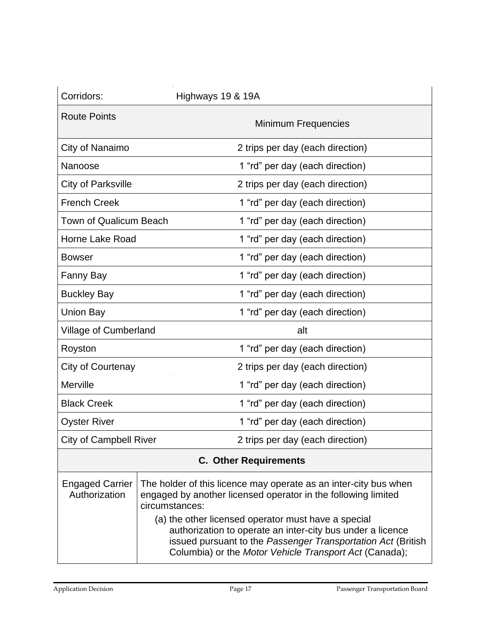| Corridors:                              | Highways 19 & 19A                                                                                                                                   |  |
|-----------------------------------------|-----------------------------------------------------------------------------------------------------------------------------------------------------|--|
| <b>Route Points</b>                     | <b>Minimum Frequencies</b>                                                                                                                          |  |
| City of Nanaimo                         | 2 trips per day (each direction)                                                                                                                    |  |
| Nanoose                                 | 1 "rd" per day (each direction)                                                                                                                     |  |
| City of Parksville                      | 2 trips per day (each direction)                                                                                                                    |  |
| <b>French Creek</b>                     | 1 "rd" per day (each direction)                                                                                                                     |  |
| <b>Town of Qualicum Beach</b>           | 1 "rd" per day (each direction)                                                                                                                     |  |
| Horne Lake Road                         | 1 "rd" per day (each direction)                                                                                                                     |  |
| <b>Bowser</b>                           | 1 "rd" per day (each direction)                                                                                                                     |  |
| Fanny Bay                               | 1 "rd" per day (each direction)                                                                                                                     |  |
| <b>Buckley Bay</b>                      | 1 "rd" per day (each direction)                                                                                                                     |  |
| Union Bay                               | 1 "rd" per day (each direction)                                                                                                                     |  |
| Village of Cumberland                   | alt                                                                                                                                                 |  |
| Royston                                 | 1 "rd" per day (each direction)                                                                                                                     |  |
| City of Courtenay                       | 2 trips per day (each direction)                                                                                                                    |  |
| Merville                                | 1 "rd" per day (each direction)                                                                                                                     |  |
| <b>Black Creek</b>                      | 1 "rd" per day (each direction)                                                                                                                     |  |
| <b>Oyster River</b>                     | 1 "rd" per day (each direction)                                                                                                                     |  |
| <b>City of Campbell River</b>           | 2 trips per day (each direction)                                                                                                                    |  |
| <b>C. Other Requirements</b>            |                                                                                                                                                     |  |
| <b>Engaged Carrier</b><br>Authorization | The holder of this licence may operate as an inter-city bus when<br>engaged by another licensed operator in the following limited<br>circumstances: |  |

| (a) the other licensed operator must have a special           |
|---------------------------------------------------------------|
| authorization to operate an inter-city bus under a licence    |
| issued pursuant to the Passenger Transportation Act (British) |
| Columbia) or the Motor Vehicle Transport Act (Canada);        |
|                                                               |